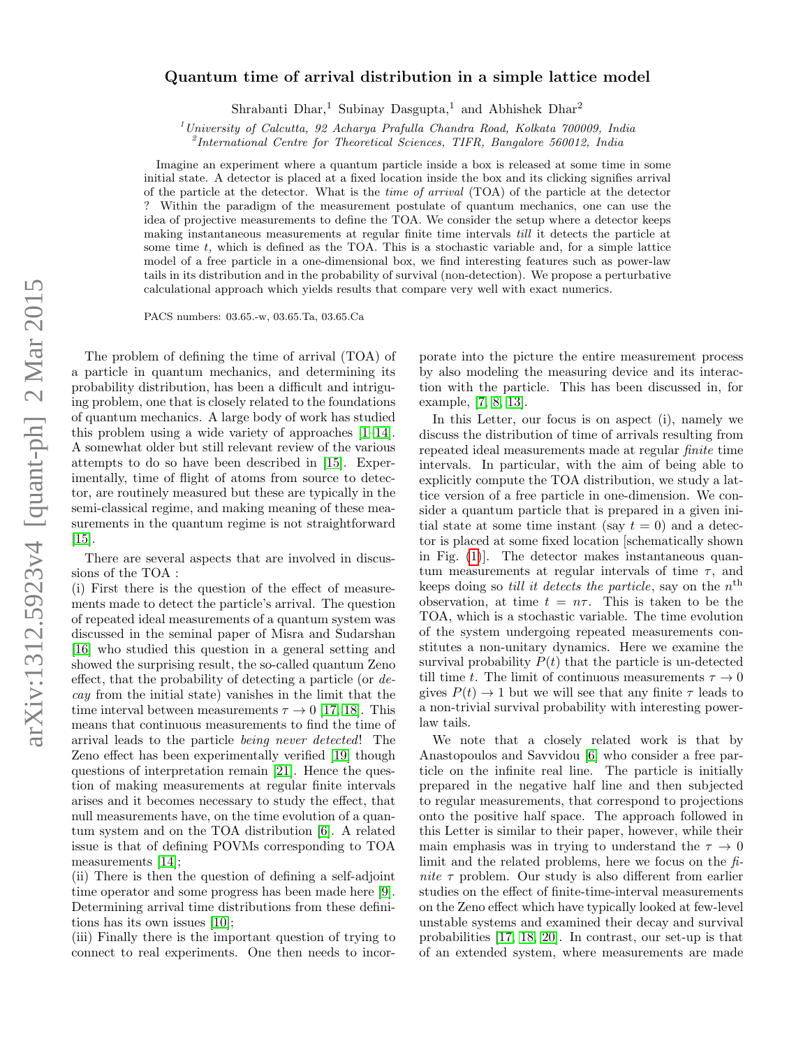## arXiv:1312.5923v4 [quant-ph] 2 Mar 2015 arXiv:1312.5923v4 [quant-ph] 2 Mar 2015

## Quantum time of arrival distribution in a simple lattice model

Shrabanti Dhar,<sup>1</sup> Subinay Dasgupta,<sup>1</sup> and Abhishek Dhar<sup>2</sup>

<sup>1</sup>University of Calcutta, 92 Acharya Prafulla Chandra Road, Kolkata 700009, India

<sup>2</sup>International Centre for Theoretical Sciences, TIFR, Bangalore 560012, India

Imagine an experiment where a quantum particle inside a box is released at some time in some initial state. A detector is placed at a fixed location inside the box and its clicking signifies arrival of the particle at the detector. What is the time of arrival (TOA) of the particle at the detector ? Within the paradigm of the measurement postulate of quantum mechanics, one can use the idea of projective measurements to define the TOA. We consider the setup where a detector keeps making instantaneous measurements at regular finite time intervals till it detects the particle at some time t, which is defined as the TOA. This is a stochastic variable and, for a simple lattice model of a free particle in a one-dimensional box, we find interesting features such as power-law tails in its distribution and in the probability of survival (non-detection). We propose a perturbative calculational approach which yields results that compare very well with exact numerics.

PACS numbers: 03.65.-w, 03.65.Ta, 03.65.Ca

The problem of defining the time of arrival (TOA) of a particle in quantum mechanics, and determining its probability distribution, has been a difficult and intriguing problem, one that is closely related to the foundations of quantum mechanics. A large body of work has studied this problem using a wide variety of approaches [\[1–](#page-4-0)[14\]](#page-4-1). A somewhat older but still relevant review of the various attempts to do so have been described in [\[15\]](#page-4-2). Experimentally, time of flight of atoms from source to detector, are routinely measured but these are typically in the semi-classical regime, and making meaning of these measurements in the quantum regime is not straightforward [\[15\]](#page-4-2).

There are several aspects that are involved in discussions of the TOA :

(i) First there is the question of the effect of measurements made to detect the particle's arrival. The question of repeated ideal measurements of a quantum system was discussed in the seminal paper of Misra and Sudarshan [\[16\]](#page-4-3) who studied this question in a general setting and showed the surprising result, the so-called quantum Zeno effect, that the probability of detecting a particle (or decay from the initial state) vanishes in the limit that the time interval between measurements  $\tau \to 0$  [\[17,](#page-4-4) [18\]](#page-4-5). This means that continuous measurements to find the time of arrival leads to the particle being never detected! The Zeno effect has been experimentally verified [\[19\]](#page-4-6) though questions of interpretation remain [\[21\]](#page-4-7). Hence the question of making measurements at regular finite intervals arises and it becomes necessary to study the effect, that null measurements have, on the time evolution of a quantum system and on the TOA distribution [\[6\]](#page-4-8). A related issue is that of defining POVMs corresponding to TOA measurements [\[14\]](#page-4-1);

(ii) There is then the question of defining a self-adjoint time operator and some progress has been made here [\[9\]](#page-4-9). Determining arrival time distributions from these definitions has its own issues [\[10\]](#page-4-10);

(iii) Finally there is the important question of trying to connect to real experiments. One then needs to incor-

porate into the picture the entire measurement process by also modeling the measuring device and its interaction with the particle. This has been discussed in, for example, [\[7,](#page-4-11) [8,](#page-4-12) [13\]](#page-4-13).

In this Letter, our focus is on aspect (i), namely we discuss the distribution of time of arrivals resulting from repeated ideal measurements made at regular finite time intervals. In particular, with the aim of being able to explicitly compute the TOA distribution, we study a lattice version of a free particle in one-dimension. We consider a quantum particle that is prepared in a given initial state at some time instant (say  $t = 0$ ) and a detector is placed at some fixed location [schematically shown in Fig. [\(1\)](#page-1-0)]. The detector makes instantaneous quantum measurements at regular intervals of time  $\tau$ , and keeps doing so *till it detects the particle*, say on the  $n<sup>th</sup>$ observation, at time  $t = n\tau$ . This is taken to be the TOA, which is a stochastic variable. The time evolution of the system undergoing repeated measurements constitutes a non-unitary dynamics. Here we examine the survival probability  $P(t)$  that the particle is un-detected till time t. The limit of continuous measurements  $\tau \to 0$ gives  $P(t) \rightarrow 1$  but we will see that any finite  $\tau$  leads to a non-trivial survival probability with interesting powerlaw tails.

We note that a closely related work is that by Anastopoulos and Savvidou [\[6\]](#page-4-8) who consider a free particle on the infinite real line. The particle is initially prepared in the negative half line and then subjected to regular measurements, that correspond to projections onto the positive half space. The approach followed in this Letter is similar to their paper, however, while their main emphasis was in trying to understand the  $\tau \to 0$ limit and the related problems, here we focus on the finite  $\tau$  problem. Our study is also different from earlier studies on the effect of finite-time-interval measurements on the Zeno effect which have typically looked at few-level unstable systems and examined their decay and survival probabilities [\[17,](#page-4-4) [18,](#page-4-5) [20\]](#page-4-14). In contrast, our set-up is that of an extended system, where measurements are made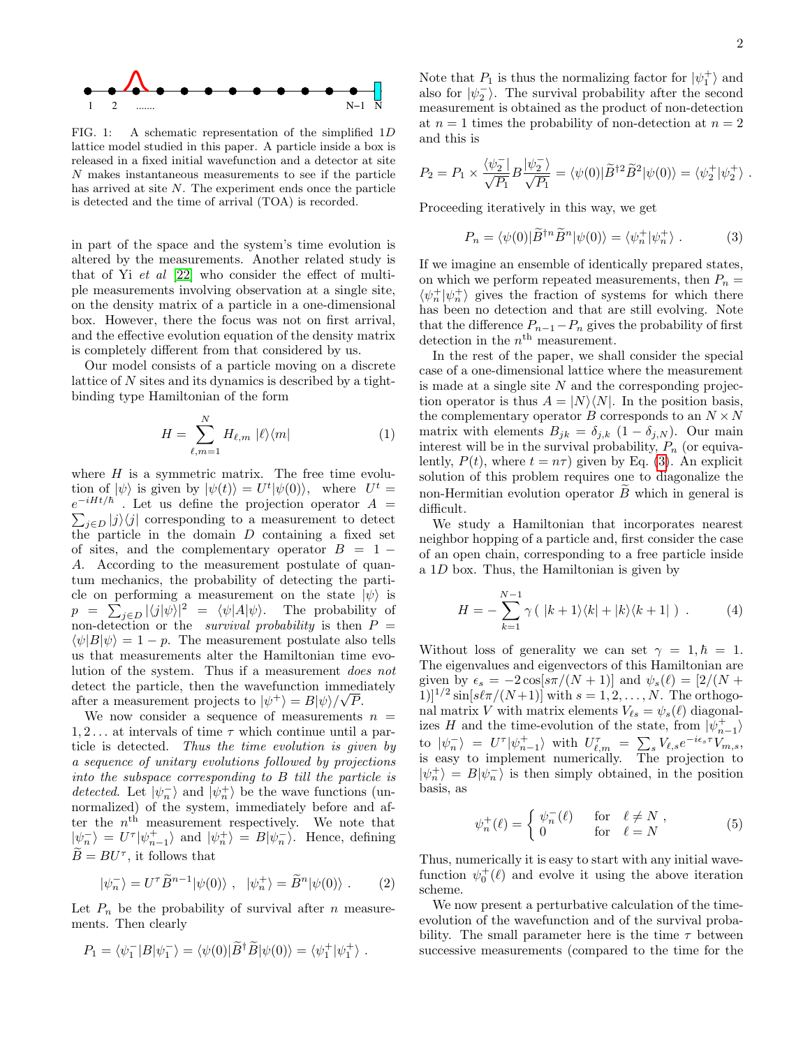

<span id="page-1-0"></span>FIG. 1: A schematic representation of the simplified 1D lattice model studied in this paper. A particle inside a box is released in a fixed initial wavefunction and a detector at site N makes instantaneous measurements to see if the particle has arrived at site N. The experiment ends once the particle is detected and the time of arrival (TOA) is recorded.

in part of the space and the system's time evolution is altered by the measurements. Another related study is that of Yi et al [\[22\]](#page-4-15) who consider the effect of multiple measurements involving observation at a single site, on the density matrix of a particle in a one-dimensional box. However, there the focus was not on first arrival, and the effective evolution equation of the density matrix is completely different from that considered by us.

Our model consists of a particle moving on a discrete lattice of N sites and its dynamics is described by a tightbinding type Hamiltonian of the form

$$
H = \sum_{\ell,m=1}^{N} H_{\ell,m} \, |\ell\rangle\langle m| \tag{1}
$$

where  $H$  is a symmetric matrix. The free time evolution of  $|\psi\rangle$  is given by  $|\psi(t)\rangle = U^t |\psi(0)\rangle$ , where  $U^t =$  $e^{-iHt/\hbar}$  $e^{-iHt/\hbar}$ . Let us define the projection operator  $A = \sum_{j \in D} |j\rangle\langle j|$  corresponding to a measurement to detect the particle in the domain  $D$  containing a fixed set of sites, and the complementary operator  $B = 1 -$ A. According to the measurement postulate of quantum mechanics, the probability of detecting the particle on performing a measurement on the state  $|\psi\rangle$  is  $p = \sum_{j \in D} |\langle j | \psi \rangle|^2 = \langle \psi | A | \psi \rangle$ . The probability of non-detection or the *survival probability* is then  $P =$  $\langle \psi | B | \psi \rangle = 1 - p$ . The measurement postulate also tells us that measurements alter the Hamiltonian time evolution of the system. Thus if a measurement does not detect the particle, then the wavefunction immediately after a measurement projects to  $|\psi^+\rangle = B|\psi\rangle/\sqrt{P}$ .

We now consider a sequence of measurements  $n =$  $1, 2, \ldots$  at intervals of time  $\tau$  which continue until a particle is detected. Thus the time evolution is given by a sequence of unitary evolutions followed by projections into the subspace corresponding to B till the particle is detected. Let  $|\psi_n^-\rangle$  and  $|\psi_n^+\rangle$  be the wave functions (unnormalized) of the system, immediately before and after the  $n<sup>th</sup>$  measurement respectively. We note that  $|\psi_n^-\rangle = U^{\tau}|\psi_{n-1}^+\rangle$  and  $|\psi_n^+\rangle = B|\psi_n^-\rangle$ . Hence, defining  $\widetilde{B} = BU^{\tau}$ , it follows that

<span id="page-1-2"></span>
$$
|\psi_n^-\rangle = U^\tau \widetilde{B}^{n-1} |\psi(0)\rangle \ , \quad |\psi_n^+\rangle = \widetilde{B}^n |\psi(0)\rangle \ . \tag{2}
$$

Let  $P_n$  be the probability of survival after n measurements. Then clearly

<span id="page-1-1"></span>
$$
P_1 = \langle \psi_1^- | B | \psi_1^- \rangle = \langle \psi(0) | \tilde{B}^\dagger \tilde{B} | \psi(0) \rangle = \langle \psi_1^+ | \psi_1^+ \rangle.
$$

Note that  $P_1$  is thus the normalizing factor for  $|\psi_1^{\pm}\rangle$  and also for  $|\psi_2\rangle$ . The survival probability after the second measurement is obtained as the product of non-detection at  $n = 1$  times the probability of non-detection at  $n = 2$ and this is

$$
P_2 = P_1 \times \frac{\langle \psi_2^- | B | \psi_2^- \rangle}{\sqrt{P_1}} = \langle \psi(0) | \widetilde{B}^{\dagger 2} \widetilde{B}^2 | \psi(0) \rangle = \langle \psi_2^+ | \psi_2^+ \rangle.
$$

Proceeding iteratively in this way, we get

$$
P_n = \langle \psi(0) | \tilde{B}^{\dagger n} \tilde{B}^n | \psi(0) \rangle = \langle \psi_n^+ | \psi_n^+ \rangle . \tag{3}
$$

If we imagine an ensemble of identically prepared states, on which we perform repeated measurements, then  $P_n =$  $\langle \psi^+_n | \psi^+_n \rangle$  gives the fraction of systems for which there has been no detection and that are still evolving. Note that the difference  $P_{n-1}-P_n$  gives the probability of first detection in the  $n<sup>th</sup>$  measurement.

In the rest of the paper, we shall consider the special case of a one-dimensional lattice where the measurement is made at a single site  $N$  and the corresponding projection operator is thus  $A = |N\rangle\langle N|$ . In the position basis, the complementary operator B corresponds to an  $N \times N$ matrix with elements  $B_{jk} = \delta_{j,k} (1 - \delta_{j,N})$ . Our main interest will be in the survival probability,  $P_n$  (or equivalently,  $P(t)$ , where  $t = n\tau$ ) given by Eq. [\(3\)](#page-1-1). An explicit solution of this problem requires one to diagonalize the non-Hermitian evolution operator  $\ddot{B}$  which in general is difficult.

We study a Hamiltonian that incorporates nearest neighbor hopping of a particle and, first consider the case of an open chain, corresponding to a free particle inside a 1D box. Thus, the Hamiltonian is given by

$$
H = -\sum_{k=1}^{N-1} \gamma \left( |k+1\rangle\langle k| + |k\rangle\langle k+1| \right) . \tag{4}
$$

Without loss of generality we can set  $\gamma = 1, \hbar = 1$ . The eigenvalues and eigenvectors of this Hamiltonian are given by  $\epsilon_s = -2 \cos[\frac{s\pi}{N+1}]$  and  $\psi_s(\ell) = \frac{2}{N+1}$  $1]$ <sup> $1/2$ </sup> sin[ $s\ell\pi/(N+1)$ ] with  $s = 1, 2, ..., N$ . The orthogonal matrix V with matrix elements  $V_{\ell s} = \psi_s(\ell)$  diagonalizes H and the time-evolution of the state, from  $|\psi^+_{n-1}\rangle$ to  $|\psi_n^-\rangle = U^{\tau}|\psi_{n-1}^+\rangle$  with  $U_{\ell,m}^{\tau} = \sum_s V_{\ell,s}e^{-i\epsilon_s\tau}V_{m,s}$ , is easy to implement numerically. The projection to  $|\psi_n^+\rangle = B|\psi_n^-\rangle$  is then simply obtained, in the position basis, as

$$
\psi_n^+(\ell) = \begin{cases} \psi_n^-(\ell) & \text{for } \ell \neq N, \\ 0 & \text{for } \ell = N \end{cases}
$$
 (5)

Thus, numerically it is easy to start with any initial wavefunction  $\psi_0^+(\ell)$  and evolve it using the above iteration scheme.

We now present a perturbative calculation of the timeevolution of the wavefunction and of the survival probability. The small parameter here is the time  $\tau$  between successive measurements (compared to the time for the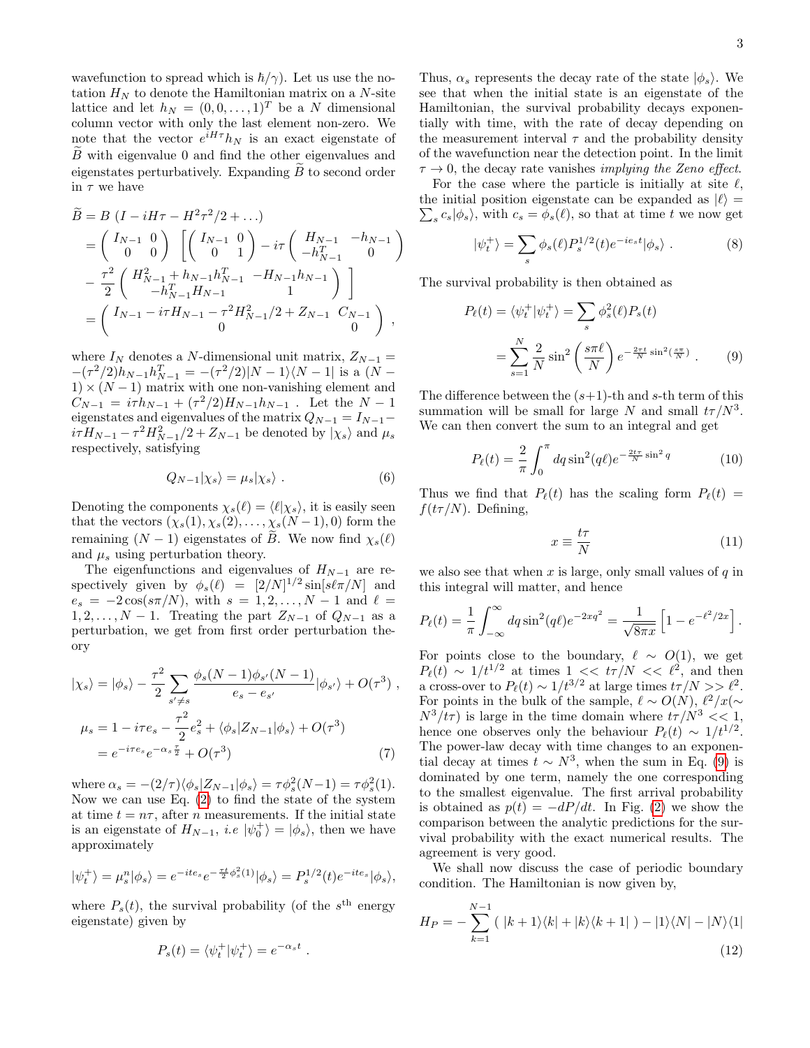wavefunction to spread which is  $\hbar/\gamma$ ). Let us use the notation  ${\cal H}_N$  to denote the Hamiltonian matrix on a  $N\text{-site}$ lattice and let  $h_N = (0, 0, \dots, 1)^T$  be a N dimensional column vector with only the last element non-zero. We note that the vector  $e^{iH\tau}h_N$  is an exact eigenstate of  $\overline{B}$  with eigenvalue 0 and find the other eigenvalues and eigenstates perturbatively. Expanding  $B$  to second order in  $\tau$  we have

$$
\widetilde{B} = B \left( I - iH\tau - H^2 \tau^2 / 2 + \dots \right)
$$
\n
$$
= \begin{pmatrix} I_{N-1} & 0 \\ 0 & 0 \end{pmatrix} \left[ \begin{pmatrix} I_{N-1} & 0 \\ 0 & 1 \end{pmatrix} - i\tau \begin{pmatrix} H_{N-1} & -h_{N-1} \\ -h_{N-1}^T & 0 \end{pmatrix} \right]
$$
\n
$$
- \frac{\tau^2}{2} \begin{pmatrix} H_{N-1}^2 + h_{N-1} h_{N-1}^T & -H_{N-1} h_{N-1} \\ -h_{N-1}^T H_{N-1} & 1 \end{pmatrix} \right]
$$
\n
$$
= \begin{pmatrix} I_{N-1} - i\tau H_{N-1} - \tau^2 H_{N-1}^2 / 2 + Z_{N-1} & C_{N-1} \\ 0 & 0 \end{pmatrix},
$$

where  $I_N$  denotes a N-dimensional unit matrix,  $Z_{N-1} =$  $-(\tau^2/2)h_{N-1}h_{N-1}^T = -(\tau^2/2)|N-1\rangle\langle N-1|$  is a  $(N-1)$  $1) \times (N-1)$  matrix with one non-vanishing element and  $C_{N-1} = i\tau h_{N-1} + (\tau^2/2)H_{N-1}h_{N-1}$ . Let the  $N-1$ eigenstates and eigenvalues of the matrix  $Q_{N-1} = I_{N-1}$  $i\tau H_{N-1} - \tau^2 H_{N-1}^2/2 + Z_{N-1}$  be denoted by  $|\chi_s\rangle$  and  $\mu_s$ respectively, satisfying

$$
Q_{N-1}|\chi_s\rangle = \mu_s|\chi_s\rangle . \tag{6}
$$

Denoting the components  $\chi_s(\ell) = \langle \ell | \chi_s \rangle$ , it is easily seen that the vectors  $(\chi_s(1), \chi_s(2), \ldots, \chi_s(N-1), 0)$  form the remaining  $(N - 1)$  eigenstates of B. We now find  $\chi_s(\ell)$ and  $\mu_s$  using perturbation theory.

The eigenfunctions and eigenvalues of  $H_{N-1}$  are respectively given by  $\phi_s(\ell) = [2/N]^{1/2} \sin[s\ell\pi/N]$  and  $e_s = -2\cos(s\pi/N)$ , with  $s = 1, 2, ..., N - 1$  and  $\ell =$  $1, 2, \ldots, N - 1$ . Treating the part  $Z_{N-1}$  of  $Q_{N-1}$  as a perturbation, we get from first order perturbation theory

$$
|\chi_s\rangle = |\phi_s\rangle - \frac{\tau^2}{2} \sum_{s'\neq s} \frac{\phi_s(N-1)\phi_{s'}(N-1)}{e_s - e_{s'}} |\phi_{s'}\rangle + O(\tau^3) ,
$$
  

$$
\mu_s = 1 - i\tau e_s - \frac{\tau^2}{2} e_s^2 + \langle \phi_s | Z_{N-1} | \phi_s \rangle + O(\tau^3)
$$
  

$$
= e^{-i\tau e_s} e^{-\alpha_s \frac{\tau}{2}} + O(\tau^3) \tag{7}
$$

where  $\alpha_s = -(2/\tau)\langle \phi_s | Z_{N-1} | \phi_s \rangle = \tau \phi_s^2(N-1) = \tau \phi_s^2(1)$ . Now we can use Eq. [\(2\)](#page-1-2) to find the state of the system at time  $t = n\tau$ , after *n* measurements. If the initial state is an eigenstate of  $H_{N-1}$ , *i.e*  $|\psi_0^+\rangle = |\phi_s\rangle$ , then we have approximately

$$
|\psi_t^+\rangle = \mu_s^n |\phi_s\rangle = e^{-ite_s} e^{-\frac{\tau t}{2}\phi_s^2(1)} |\phi_s\rangle = P_s^{1/2}(t) e^{-ite_s} |\phi_s\rangle,
$$

where  $P_s(t)$ , the survival probability (of the  $s<sup>th</sup>$  energy eigenstate) given by

$$
P_s(t) = \langle \psi_t^+ | \psi_t^+ \rangle = e^{-\alpha_s t}
$$

.

Thus,  $\alpha_s$  represents the decay rate of the state  $|\phi_s\rangle$ . We see that when the initial state is an eigenstate of the Hamiltonian, the survival probability decays exponentially with time, with the rate of decay depending on the measurement interval  $\tau$  and the probability density of the wavefunction near the detection point. In the limit  $\tau \to 0$ , the decay rate vanishes *implying the Zeno effect*.

For the case where the particle is initially at site  $\ell$ , the initial position eigenstate can be expanded as  $|\ell\rangle$  =  $\sum_s c_s |\phi_s\rangle$ , with  $c_s = \phi_s(\ell)$ , so that at time t we now get

$$
|\psi_t^+\rangle = \sum_s \phi_s(\ell) P_s^{1/2}(t) e^{-ie_s t} |\phi_s\rangle . \tag{8}
$$

The survival probability is then obtained as

$$
P_{\ell}(t) = \langle \psi_t^+ | \psi_t^+ \rangle = \sum_s \phi_s^2(\ell) P_s(t)
$$

$$
= \sum_{s=1}^N \frac{2}{N} \sin^2 \left( \frac{s \pi \ell}{N} \right) e^{-\frac{2\tau t}{N} \sin^2 \left( \frac{s \pi}{N} \right)} . \tag{9}
$$

The difference between the  $(s+1)$ -th and s-th term of this summation will be small for large N and small  $t\tau/N^3$ . We can then convert the sum to an integral and get

$$
P_{\ell}(t) = \frac{2}{\pi} \int_0^{\pi} dq \sin^2(q\ell) e^{-\frac{2t\tau}{N} \sin^2 q}
$$
 (10)

Thus we find that  $P_{\ell}(t)$  has the scaling form  $P_{\ell}(t)$  =  $f(t\tau/N)$ . Defining,

<span id="page-2-0"></span>
$$
x \equiv \frac{t\tau}{N} \tag{11}
$$

we also see that when x is large, only small values of  $q$  in this integral will matter, and hence

$$
P_{\ell}(t) = \frac{1}{\pi} \int_{-\infty}^{\infty} dq \sin^2(q\ell) e^{-2xq^2} = \frac{1}{\sqrt{8\pi x}} \left[ 1 - e^{-\ell^2/2x} \right].
$$

For points close to the boundary,  $\ell \sim O(1)$ , we get  $P_{\ell}(t) \sim 1/t^{1/2}$  at times  $1 \ll t\tau/N \ll \ell^2$ , and then a cross-over to  $P_{\ell}(t) \sim 1/t^{3/2}$  at large times  $t\tau/N >> \ell^2$ . For points in the bulk of the sample,  $\ell \sim O(N)$ ,  $\ell^2/x$ (∼  $N^3/t\tau$ ) is large in the time domain where  $t\tau/N^3 << 1$ , hence one observes only the behaviour  $P_{\ell}(t) \sim 1/t^{1/2}$ . The power-law decay with time changes to an exponential decay at times  $t \sim N^3$ , when the sum in Eq. [\(9\)](#page-2-0) is dominated by one term, namely the one corresponding to the smallest eigenvalue. The first arrival probability is obtained as  $p(t) = -dP/dt$ . In Fig. [\(2\)](#page-3-0) we show the comparison between the analytic predictions for the survival probability with the exact numerical results. The agreement is very good.

We shall now discuss the case of periodic boundary condition. The Hamiltonian is now given by,

$$
H_P = -\sum_{k=1}^{N-1} (|k+1\rangle\langle k| + |k\rangle\langle k+1|) - |1\rangle\langle N| - |N\rangle\langle 1|
$$
\n(12)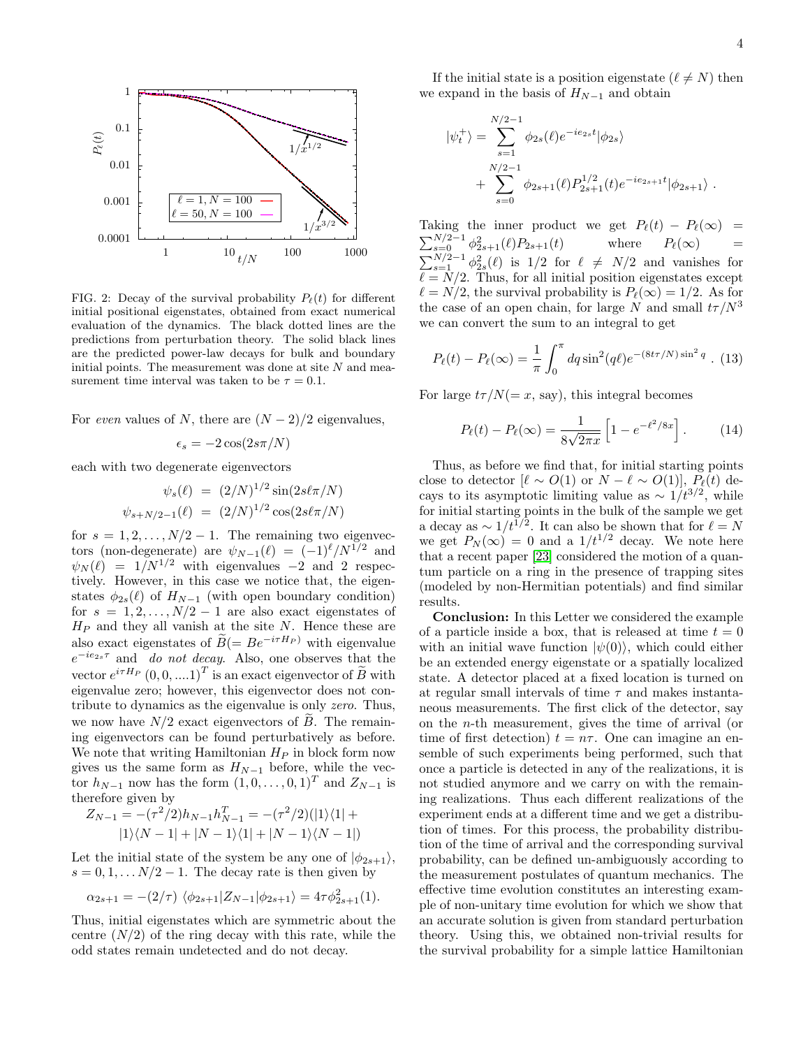

<span id="page-3-0"></span>FIG. 2: Decay of the survival probability  $P_{\ell}(t)$  for different initial positional eigenstates, obtained from exact numerical evaluation of the dynamics. The black dotted lines are the predictions from perturbation theory. The solid black lines are the predicted power-law decays for bulk and boundary initial points. The measurement was done at site  $N$  and measurement time interval was taken to be  $\tau = 0.1$ .

For even values of N, there are  $(N-2)/2$  eigenvalues,

$$
\epsilon_s = -2\cos(2s\pi/N)
$$

each with two degenerate eigenvectors

$$
\psi_s(\ell) = (2/N)^{1/2} \sin(2s\ell\pi/N)
$$

$$
\psi_{s+N/2-1}(\ell) = (2/N)^{1/2} \cos(2s\ell\pi/N)
$$

for  $s = 1, 2, \ldots, N/2 - 1$ . The remaining two eigenvectors (non-degenerate) are  $\psi_{N-1}(\ell) = (-1)^{\ell}/N^{1/2}$  and  $\psi_N(\ell) = 1/N^{1/2}$  with eigenvalues -2 and 2 respectively. However, in this case we notice that, the eigenstates  $\phi_{2s}(\ell)$  of  $H_{N-1}$  (with open boundary condition) for  $s = 1, 2, \ldots, N/2 - 1$  are also exact eigenstates of  $H_P$  and they all vanish at the site N. Hence these are also exact eigenstates of  $\widetilde{B} (= Be^{-i\tau H_P})$  with eigenvalue  $e^{-ie_{2s}\tau}$  and do not decay. Also, one observes that the vector  $e^{i\tau H_P} (0, 0, ... 1)^T$  is an exact eigenvector of  $\widetilde{B}$  with eigenvalue zero; however, this eigenvector does not contribute to dynamics as the eigenvalue is only zero. Thus, we now have  $N/2$  exact eigenvectors of B. The remaining eigenvectors can be found perturbatively as before. We note that writing Hamiltonian  $H_P$  in block form now gives us the same form as  $H_{N-1}$  before, while the vector  $h_{N-1}$  now has the form  $(1, 0, \ldots, 0, 1)^T$  and  $Z_{N-1}$  is therefore given by

$$
Z_{N-1} = -(\tau^2/2)h_{N-1}h_{N-1}^T = -(\tau^2/2)(|1\rangle\langle 1| + |1\rangle\langle N-1| + |N-1\rangle\langle 1| + |N-1\rangle\langle N-1|)
$$

Let the initial state of the system be any one of  $|\phi_{2s+1}\rangle$ ,  $s = 0, 1, \ldots N/2 - 1$ . The decay rate is then given by

$$
\alpha_{2s+1} = -(2/\tau) \langle \phi_{2s+1} | Z_{N-1} | \phi_{2s+1} \rangle = 4\tau \phi_{2s+1}^2(1).
$$

Thus, initial eigenstates which are symmetric about the centre  $(N/2)$  of the ring decay with this rate, while the odd states remain undetected and do not decay.

If the initial state is a position eigenstate ( $\ell \neq N$ ) then we expand in the basis of  $H_{N-1}$  and obtain

$$
\begin{split} |\psi_t^+\rangle &= \sum_{s=1}^{N/2-1} \phi_{2s}(\ell) e^{-i e_{2s} t} |\phi_{2s}\rangle \\ &+ \sum_{s=0}^{N/2-1} \phi_{2s+1}(\ell) P_{2s+1}^{1/2}(t) e^{-i e_{2s+1} t} |\phi_{2s+1}\rangle~. \end{split}
$$

Taking the inner product we get  $P_{\ell}(t) - P_{\ell}(\infty)$  =  $\sum_{s=0}^{N/2-1} \phi_{2s+1}^2(\ell) P_{2s+1}(t)$  where  $P_{\ell}(\infty)$  =  $\sum_{s=1}^{N/2-1} \phi_{2s}^2(\ell)$  is 1/2 for  $\ell \neq N/2$  and vanishes for  $\ell = N/2$ . Thus, for all initial position eigenstates except  $\ell = N/2$ , the survival probability is  $P_{\ell}(\infty) = 1/2$ . As for the case of an open chain, for large N and small  $t\tau/N^3$ we can convert the sum to an integral to get

$$
P_{\ell}(t) - P_{\ell}(\infty) = \frac{1}{\pi} \int_0^{\pi} dq \sin^2(q\ell) e^{-(8t\tau/N)\sin^2 q} . (13)
$$

For large  $t\tau/N (= x, say)$ , this integral becomes

$$
P_{\ell}(t) - P_{\ell}(\infty) = \frac{1}{8\sqrt{2\pi x}} \left[ 1 - e^{-\ell^2/8x} \right].
$$
 (14)

Thus, as before we find that, for initial starting points close to detector  $[\ell \sim O(1)$  or  $N - \ell \sim O(1)$ ,  $P_{\ell}(t)$  decays to its asymptotic limiting value as  $\sim 1/t^{3/2}$ , while for initial starting points in the bulk of the sample we get a decay as  $\sim 1/t^{1/2}$ . It can also be shown that for  $\ell = N$ we get  $P_N(\infty) = 0$  and a  $1/t^{1/2}$  decay. We note here that a recent paper [\[23\]](#page-4-16) considered the motion of a quantum particle on a ring in the presence of trapping sites (modeled by non-Hermitian potentials) and find similar results.

Conclusion: In this Letter we considered the example of a particle inside a box, that is released at time  $t = 0$ with an initial wave function  $|\psi(0)\rangle$ , which could either be an extended energy eigenstate or a spatially localized state. A detector placed at a fixed location is turned on at regular small intervals of time  $\tau$  and makes instantaneous measurements. The first click of the detector, say on the n-th measurement, gives the time of arrival (or time of first detection)  $t = n\tau$ . One can imagine an ensemble of such experiments being performed, such that once a particle is detected in any of the realizations, it is not studied anymore and we carry on with the remaining realizations. Thus each different realizations of the experiment ends at a different time and we get a distribution of times. For this process, the probability distribution of the time of arrival and the corresponding survival probability, can be defined un-ambiguously according to the measurement postulates of quantum mechanics. The effective time evolution constitutes an interesting example of non-unitary time evolution for which we show that an accurate solution is given from standard perturbation theory. Using this, we obtained non-trivial results for the survival probability for a simple lattice Hamiltonian